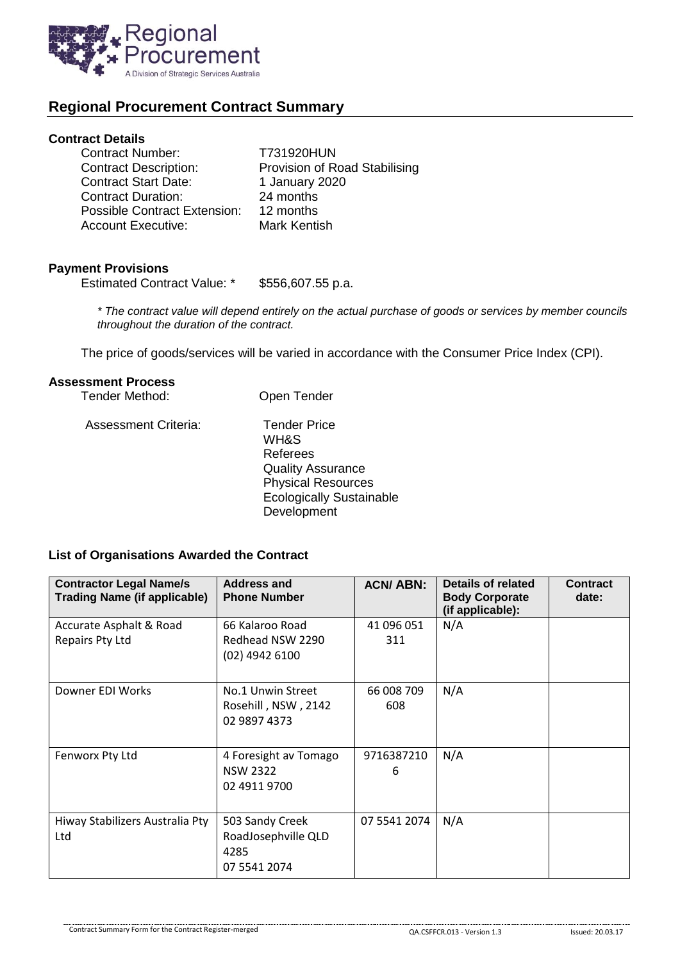

# **Regional Procurement Contract Summary**

#### **Contract Details**

| <b>Contract Number:</b>             | <b>T731920HUN</b>             |
|-------------------------------------|-------------------------------|
| <b>Contract Description:</b>        | Provision of Road Stabilising |
| <b>Contract Start Date:</b>         | 1 January 2020                |
| <b>Contract Duration:</b>           | 24 months                     |
| <b>Possible Contract Extension:</b> | 12 months                     |
| <b>Account Executive:</b>           | Mark Kentish                  |

### **Payment Provisions**

Estimated Contract Value: \* \$556,607.55 p.a.

*\* The contract value will depend entirely on the actual purchase of goods or services by member councils throughout the duration of the contract.*

The price of goods/services will be varied in accordance with the Consumer Price Index (CPI).

Development

## **Assessment Process**

| Tender Method:              | Open Tender                                                                                                                         |
|-----------------------------|-------------------------------------------------------------------------------------------------------------------------------------|
| <b>Assessment Criteria:</b> | <b>Tender Price</b><br>WH&S<br>Referees<br><b>Quality Assurance</b><br><b>Physical Resources</b><br><b>Ecologically Sustainable</b> |

## **List of Organisations Awarded the Contract**

| <b>Contractor Legal Name/s</b><br><b>Trading Name (if applicable)</b> | Address and<br><b>Phone Number</b>                             | <b>ACN/ABN:</b>   | Details of related<br><b>Body Corporate</b><br>(if applicable): | <b>Contract</b><br>date: |
|-----------------------------------------------------------------------|----------------------------------------------------------------|-------------------|-----------------------------------------------------------------|--------------------------|
| Accurate Asphalt & Road<br>Repairs Pty Ltd                            | 66 Kalaroo Road<br>Redhead NSW 2290<br>(02) 4942 6100          | 41 096 051<br>311 | N/A                                                             |                          |
| Downer EDI Works                                                      | No.1 Unwin Street<br>Rosehill, NSW, 2142<br>02 9897 4373       | 66 008 709<br>608 | N/A                                                             |                          |
| Fenworx Pty Ltd                                                       | 4 Foresight av Tomago<br><b>NSW 2322</b><br>02 4911 9700       | 9716387210<br>6   | N/A                                                             |                          |
| Hiway Stabilizers Australia Pty<br>Ltd                                | 503 Sandy Creek<br>RoadJosephville QLD<br>4285<br>07 5541 2074 | 07 5541 2074      | N/A                                                             |                          |